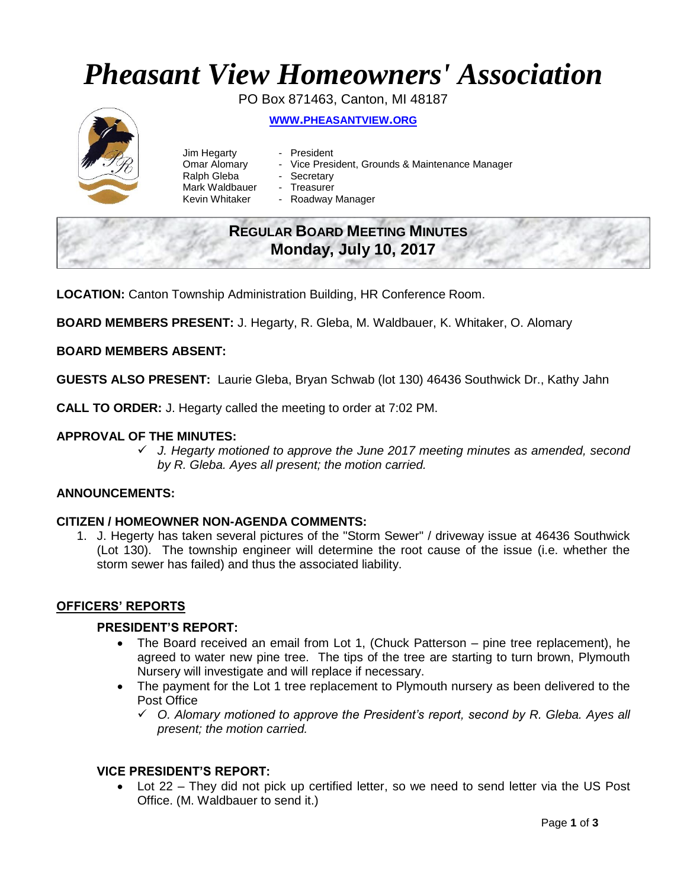# *Pheasant View Homeowners' Association*

PO Box 871463, Canton, MI 48187



**WWW.[PHEASANTVIEW](http://www.pheasantview.org/).ORG**

- Jim Hegarty President Omar Alomary - Vice President, Grounds & Maintenance Manager
	-
- Ralph Gleba Secretary
- Mark Waldbauer Treasurer
- Kevin Whitaker Roadway Manager

# **REGULAR BOARD MEETING MINUTES Monday, July 10, 2017**

**LOCATION:** Canton Township Administration Building, HR Conference Room.

**BOARD MEMBERS PRESENT:** J. Hegarty, R. Gleba, M. Waldbauer, K. Whitaker, O. Alomary

# **BOARD MEMBERS ABSENT:**

**GUESTS ALSO PRESENT:** Laurie Gleba, Bryan Schwab (lot 130) 46436 Southwick Dr., Kathy Jahn

**CALL TO ORDER:** J. Hegarty called the meeting to order at 7:02 PM.

# **APPROVAL OF THE MINUTES:**

✓ *J. Hegarty motioned to approve the June 2017 meeting minutes as amended, second by R. Gleba. Ayes all present; the motion carried.* 

# **ANNOUNCEMENTS:**

# **CITIZEN / HOMEOWNER NON-AGENDA COMMENTS:**

1. J. Hegerty has taken several pictures of the "Storm Sewer" / driveway issue at 46436 Southwick (Lot 130). The township engineer will determine the root cause of the issue (i.e. whether the storm sewer has failed) and thus the associated liability.

# **OFFICERS' REPORTS**

# **PRESIDENT'S REPORT:**

- The Board received an email from Lot 1, (Chuck Patterson pine tree replacement), he agreed to water new pine tree. The tips of the tree are starting to turn brown, Plymouth Nursery will investigate and will replace if necessary.
- The payment for the Lot 1 tree replacement to Plymouth nursery as been delivered to the Post Office
	- ✓ *O. Alomary motioned to approve the President's report, second by R. Gleba. Ayes all present; the motion carried.*

# **VICE PRESIDENT'S REPORT:**

• Lot 22 – They did not pick up certified letter, so we need to send letter via the US Post Office. (M. Waldbauer to send it.)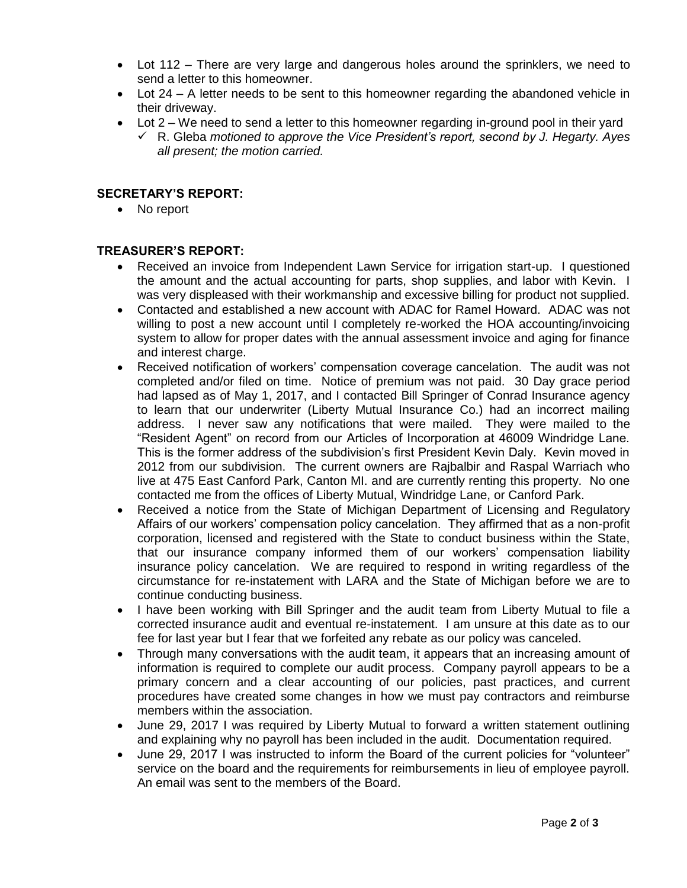- Lot 112 There are very large and dangerous holes around the sprinklers, we need to send a letter to this homeowner.
- Lot 24 A letter needs to be sent to this homeowner regarding the abandoned vehicle in their driveway.
- Lot 2 We need to send a letter to this homeowner regarding in-ground pool in their yard
	- ✓ R. Gleba *motioned to approve the Vice President's report, second by J. Hegarty. Ayes all present; the motion carried.*

# **SECRETARY'S REPORT:**

• No report

# **TREASURER'S REPORT:**

- Received an invoice from Independent Lawn Service for irrigation start-up. I questioned the amount and the actual accounting for parts, shop supplies, and labor with Kevin. I was very displeased with their workmanship and excessive billing for product not supplied.
- Contacted and established a new account with ADAC for Ramel Howard. ADAC was not willing to post a new account until I completely re-worked the HOA accounting/invoicing system to allow for proper dates with the annual assessment invoice and aging for finance and interest charge.
- Received notification of workers' compensation coverage cancelation. The audit was not completed and/or filed on time. Notice of premium was not paid. 30 Day grace period had lapsed as of May 1, 2017, and I contacted Bill Springer of Conrad Insurance agency to learn that our underwriter (Liberty Mutual Insurance Co.) had an incorrect mailing address. I never saw any notifications that were mailed. They were mailed to the "Resident Agent" on record from our Articles of Incorporation at 46009 Windridge Lane. This is the former address of the subdivision's first President Kevin Daly. Kevin moved in 2012 from our subdivision. The current owners are Rajbalbir and Raspal Warriach who live at 475 East Canford Park, Canton MI. and are currently renting this property. No one contacted me from the offices of Liberty Mutual, Windridge Lane, or Canford Park.
- Received a notice from the State of Michigan Department of Licensing and Regulatory Affairs of our workers' compensation policy cancelation. They affirmed that as a non-profit corporation, licensed and registered with the State to conduct business within the State, that our insurance company informed them of our workers' compensation liability insurance policy cancelation. We are required to respond in writing regardless of the circumstance for re-instatement with LARA and the State of Michigan before we are to continue conducting business.
- I have been working with Bill Springer and the audit team from Liberty Mutual to file a corrected insurance audit and eventual re-instatement. I am unsure at this date as to our fee for last year but I fear that we forfeited any rebate as our policy was canceled.
- Through many conversations with the audit team, it appears that an increasing amount of information is required to complete our audit process. Company payroll appears to be a primary concern and a clear accounting of our policies, past practices, and current procedures have created some changes in how we must pay contractors and reimburse members within the association.
- June 29, 2017 I was required by Liberty Mutual to forward a written statement outlining and explaining why no payroll has been included in the audit. Documentation required.
- June 29, 2017 I was instructed to inform the Board of the current policies for "volunteer" service on the board and the requirements for reimbursements in lieu of employee payroll. An email was sent to the members of the Board.